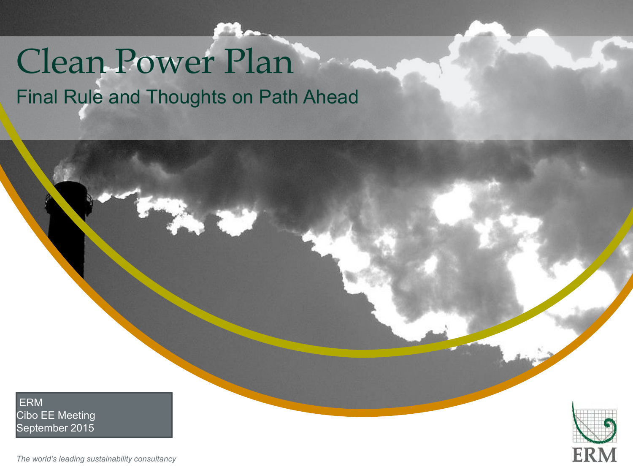# Clean Power Plan Final Rule and Thoughts on Path Ahead

"Insert "Picture" ("Picture" – select your picture" – select your picture of the picture of the picture of the

Right click your picture and "Send to back".

ERM Cibo EE Meeting September 2015

ER

*The world's leading sustainability consultancy*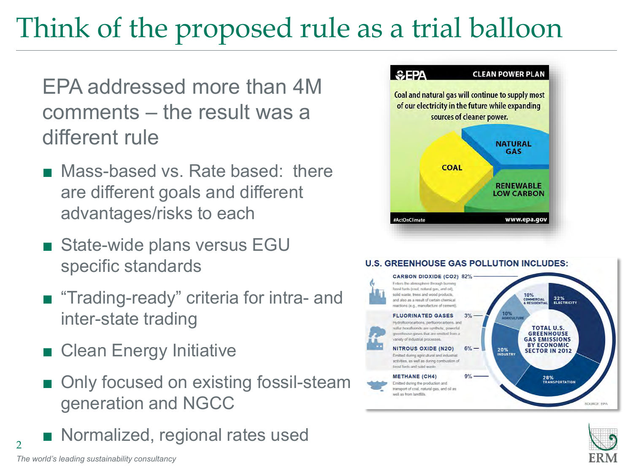### Think of the proposed rule as a trial balloon

EPA addressed more than 4M comments – the result was a different rule

- Mass-based vs. Rate based: there are different goals and different advantages/risks to each
- State-wide plans versus EGU specific standards
- "Trading-ready" criteria for intra- and inter-state trading
- Clean Energy Initiative
- Only focused on existing fossil-steam generation and NGCC
- Normalized, regional rates used



#### **U.S. GREENHOUSE GAS POLLUTION INCLUDES: CARBON DIOXIDE (CO2) 82%** Enters the atmosphere through burning fossal fuels (coal, natural gas, and oil), solid waste, trees and wood products, 10% 32%<br>ELECTRICITY COMMERCIAL<br>& RESIDENTIAL and also as a result of certain chemical. reactions (e.g., manufacture of cernent). 10%<br>AGRICULTURE **FLUORINATED GASES**  $3%$ Hydrofluorocarbons, perfluorocarbons, and sulfar hexalluoride are synthetic, powerful **TOTAL U.S. GREENHOUSE** preenhouse gases that are emitted from a variety of industrial processes. **GAS EMISSIONS BY ECONOMIC NITROUS OXIDE (N2O)**  $6\%$  — 20%<br>INDUSTRY **SECTOR IN 2012** Emitted during agricultural and industrial activities, as well as during combustion of fossil fuels and solid waste.  $9% -$ **METHANE (CH4)** 28%<br>TRANSPORTATION Emitted during the production and transport of coal, natural gas, and oil as well as from landfills.



2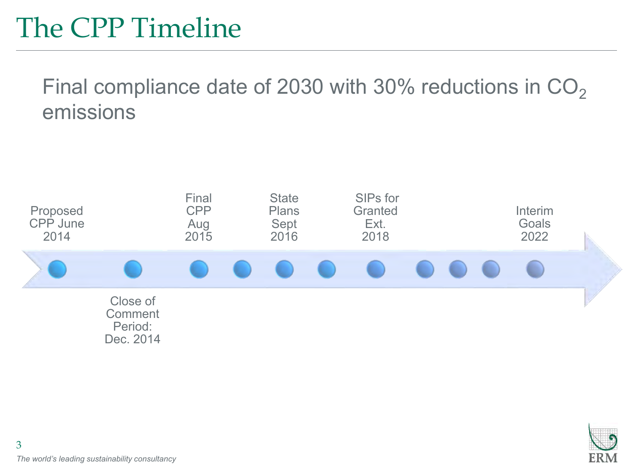### The CPP Timeline

Final compliance date of 2030 with 30% reductions in  $CO<sub>2</sub>$ emissions



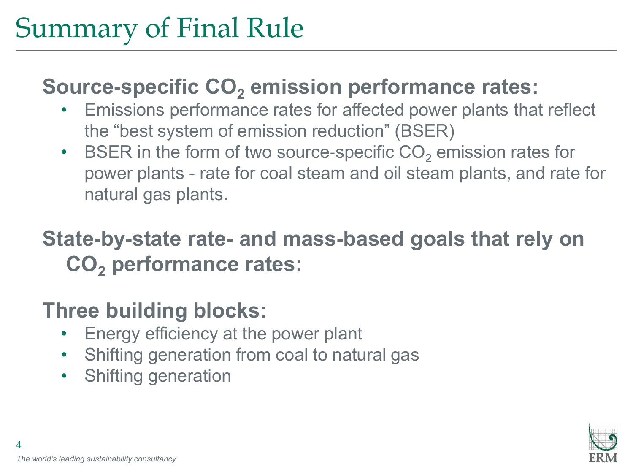### Summary of Final Rule

### **Source**‐**specific CO<sup>2</sup> emission performance rates:**

- Emissions performance rates for affected power plants that reflect the "best system of emission reduction" (BSER)
- BSER in the form of two source-specific  $CO<sub>2</sub>$  emission rates for power plants - rate for coal steam and oil steam plants, and rate for natural gas plants.

### **State**‐**by**‐**state rate**‐ **and mass**‐**based goals that rely on CO<sup>2</sup> performance rates:**

### **Three building blocks:**

- Energy efficiency at the power plant
- Shifting generation from coal to natural gas
- Shifting generation

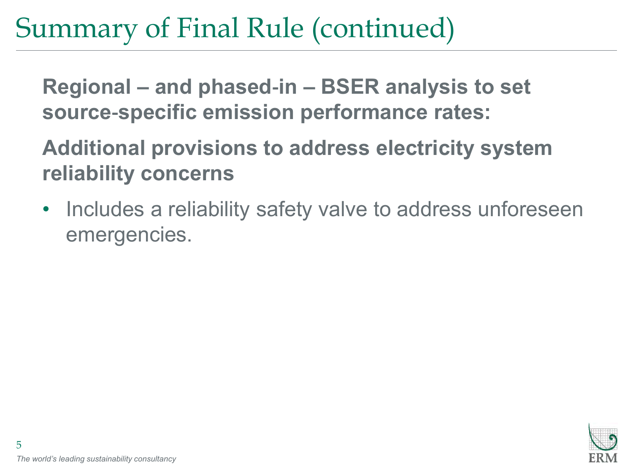### Summary of Final Rule (continued)

**Regional – and phased**‐**in – BSER analysis to set source**‐**specific emission performance rates:**

**Additional provisions to address electricity system reliability concerns**

Includes a reliability safety valve to address unforeseen emergencies.

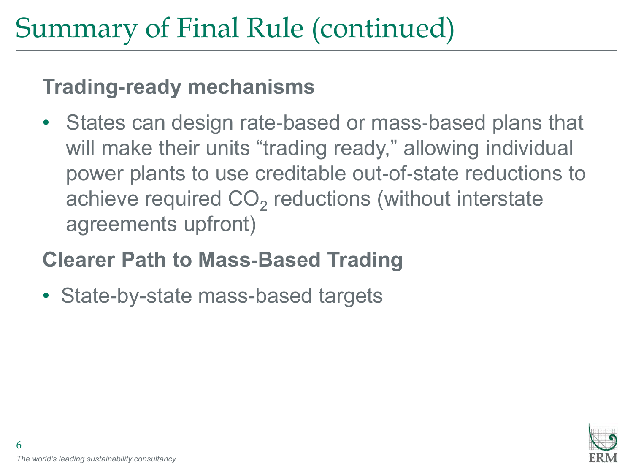### Summary of Final Rule (continued)

#### **Trading**‐**ready mechanisms**

• States can design rate-based or mass-based plans that will make their units "trading ready," allowing individual power plants to use creditable out‐of‐state reductions to achieve required  $\mathsf{CO}_2$  reductions (without interstate agreements upfront)

### **Clearer Path to Mass**‐**Based Trading**

• State-by-state mass-based targets

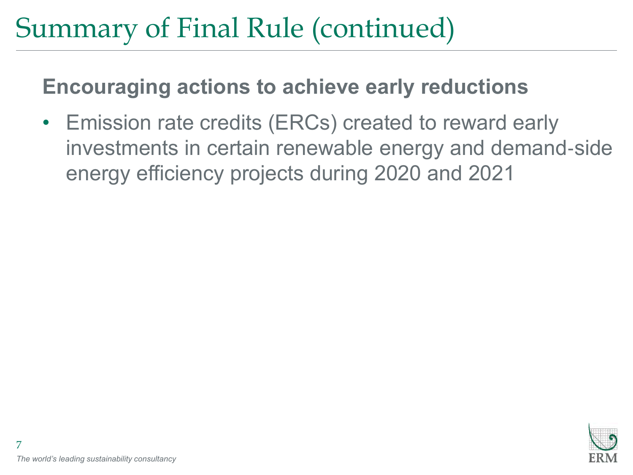### Summary of Final Rule (continued)

#### **Encouraging actions to achieve early reductions**

• Emission rate credits (ERCs) created to reward early investments in certain renewable energy and demand‐side energy efficiency projects during 2020 and 2021

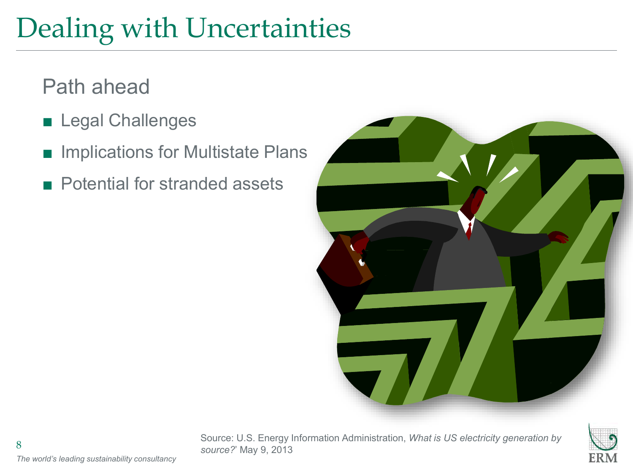## Dealing with Uncertainties

### Path ahead

- Legal Challenges
- Implications for Multistate Plans
- Potential for stranded assets



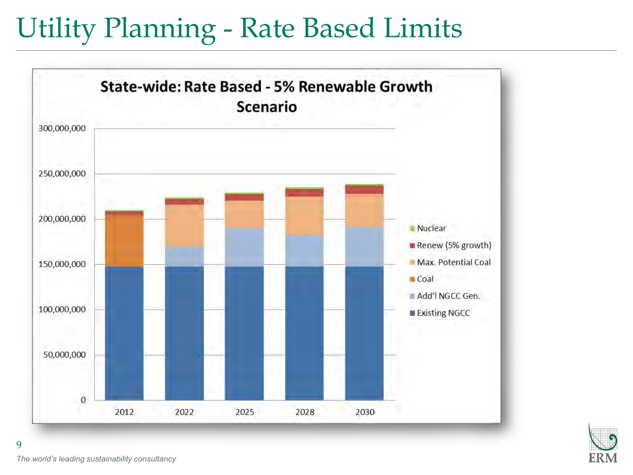### Utility Planning - Rate Based Limits



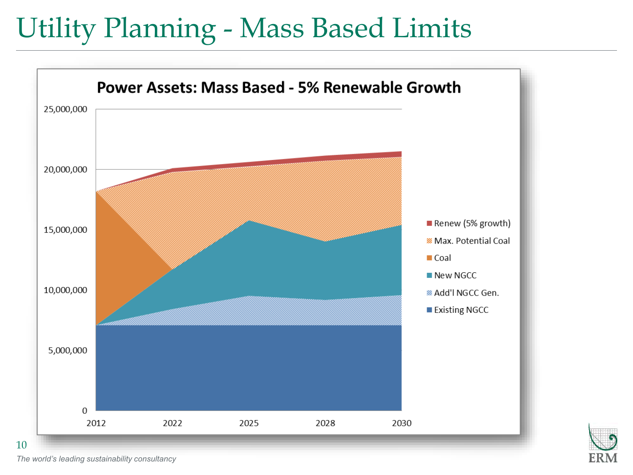### Utility Planning - Mass Based Limits





*The world's leading sustainability consultancy*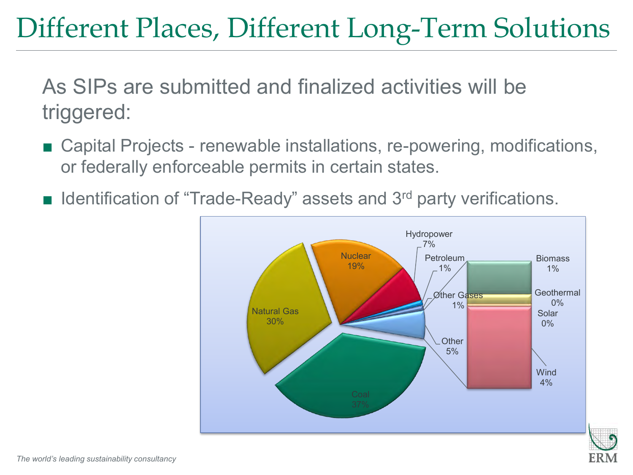### Different Places, Different Long-Term Solutions

As SIPs are submitted and finalized activities will be triggered:

- Capital Projects renewable installations, re-powering, modifications, or federally enforceable permits in certain states.
- Identification of "Trade-Ready" assets and 3<sup>rd</sup> party verifications.